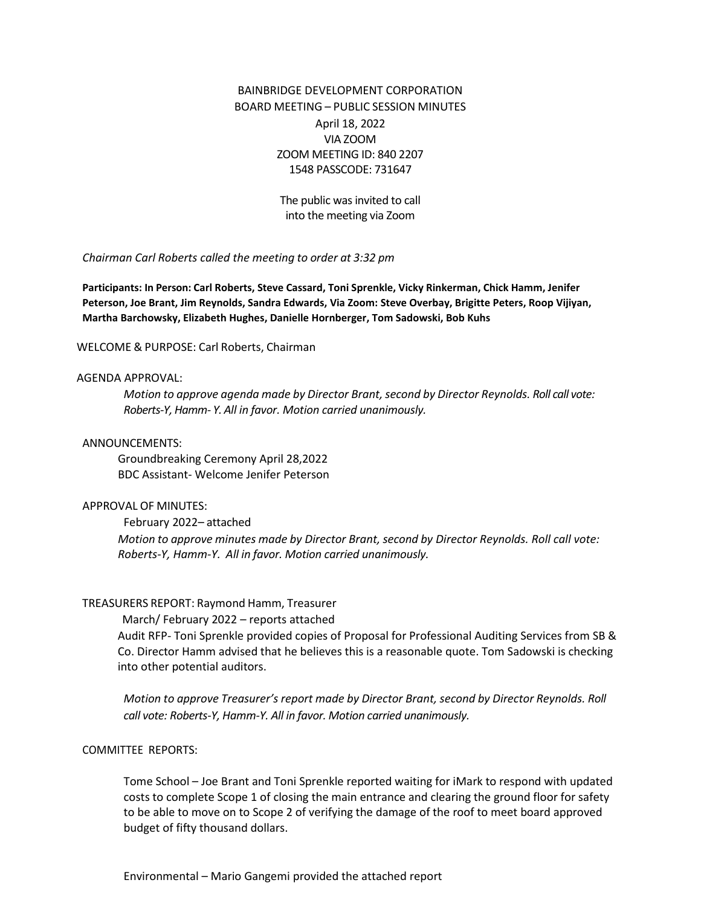# BAINBRIDGE DEVELOPMENT CORPORATION BOARD MEETING – PUBLIC SESSION MINUTES April 18, 2022 VIA ZOOM ZOOM MEETING ID: 840 2207 1548 PASSCODE: 731647

The public was invited to call into the meeting via Zoom

*Chairman Carl Roberts called the meeting to order at 3:32 pm*

**Participants: In Person: Carl Roberts, Steve Cassard, Toni Sprenkle, Vicky Rinkerman, Chick Hamm, Jenifer Peterson, Joe Brant, Jim Reynolds, Sandra Edwards, Via Zoom: Steve Overbay, Brigitte Peters, Roop Vijiyan, Martha Barchowsky, Elizabeth Hughes, Danielle Hornberger, Tom Sadowski, Bob Kuhs**

#### WELCOME & PURPOSE: Carl Roberts, Chairman

#### AGENDA APPROVAL:

*Motion to approve agenda made by Director Brant,second by Director Reynolds. Roll call vote: Roberts-Y, Hamm- Y. All in favor. Motion carried unanimously.*

#### ANNOUNCEMENTS:

Groundbreaking Ceremony April 28,2022 BDC Assistant- Welcome Jenifer Peterson

### APPROVAL OF MINUTES:

February 2022– attached *Motion to approve minutes made by Director Brant, second by Director Reynolds. Roll call vote: Roberts-Y, Hamm-Y. All in favor. Motion carried unanimously.*

#### TREASURERS REPORT: Raymond Hamm, Treasurer

#### March/ February 2022 – reports attached

Audit RFP- Toni Sprenkle provided copies of Proposal for Professional Auditing Services from SB & Co. Director Hamm advised that he believes this is a reasonable quote. Tom Sadowski is checking into other potential auditors.

*Motion to approve Treasurer's report made by Director Brant, second by Director Reynolds. Roll call vote: Roberts-Y, Hamm-Y. All in favor. Motion carried unanimously.*

### COMMITTEE REPORTS:

Tome School – Joe Brant and Toni Sprenkle reported waiting for iMark to respond with updated costs to complete Scope 1 of closing the main entrance and clearing the ground floor for safety to be able to move on to Scope 2 of verifying the damage of the roof to meet board approved budget of fifty thousand dollars.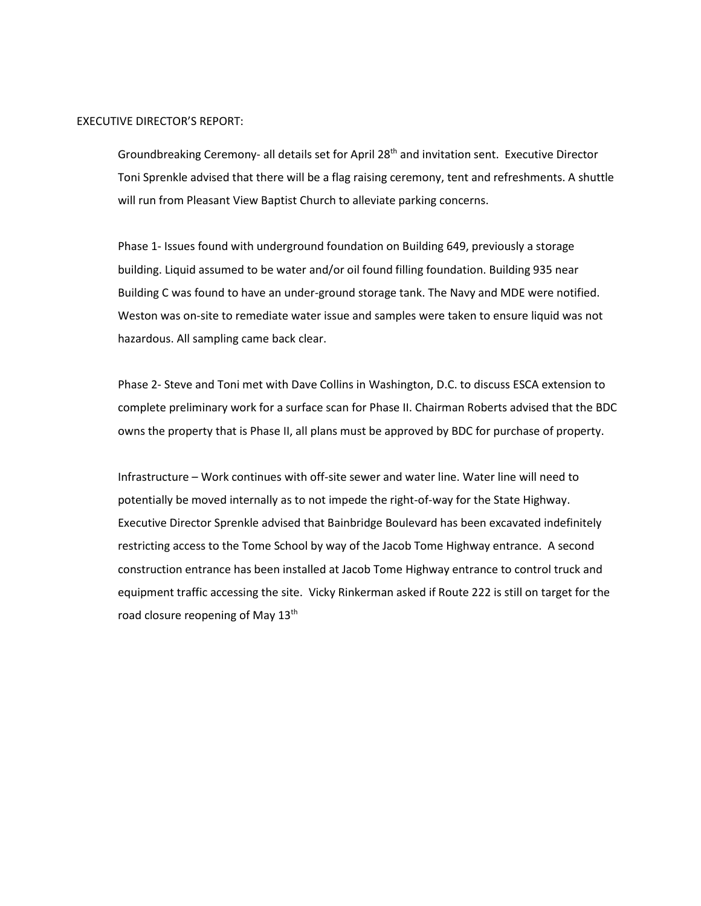#### EXECUTIVE DIRECTOR'S REPORT:

Groundbreaking Ceremony- all details set for April 28<sup>th</sup> and invitation sent. Executive Director Toni Sprenkle advised that there will be a flag raising ceremony, tent and refreshments. A shuttle will run from Pleasant View Baptist Church to alleviate parking concerns.

Phase 1- Issues found with underground foundation on Building 649, previously a storage building. Liquid assumed to be water and/or oil found filling foundation. Building 935 near Building C was found to have an under-ground storage tank. The Navy and MDE were notified. Weston was on-site to remediate water issue and samples were taken to ensure liquid was not hazardous. All sampling came back clear.

Phase 2- Steve and Toni met with Dave Collins in Washington, D.C. to discuss ESCA extension to complete preliminary work for a surface scan for Phase II. Chairman Roberts advised that the BDC owns the property that is Phase II, all plans must be approved by BDC for purchase of property.

Infrastructure – Work continues with off-site sewer and water line. Water line will need to potentially be moved internally as to not impede the right-of-way for the State Highway. Executive Director Sprenkle advised that Bainbridge Boulevard has been excavated indefinitely restricting access to the Tome School by way of the Jacob Tome Highway entrance. A second construction entrance has been installed at Jacob Tome Highway entrance to control truck and equipment traffic accessing the site. Vicky Rinkerman asked if Route 222 is still on target for the road closure reopening of May 13<sup>th</sup>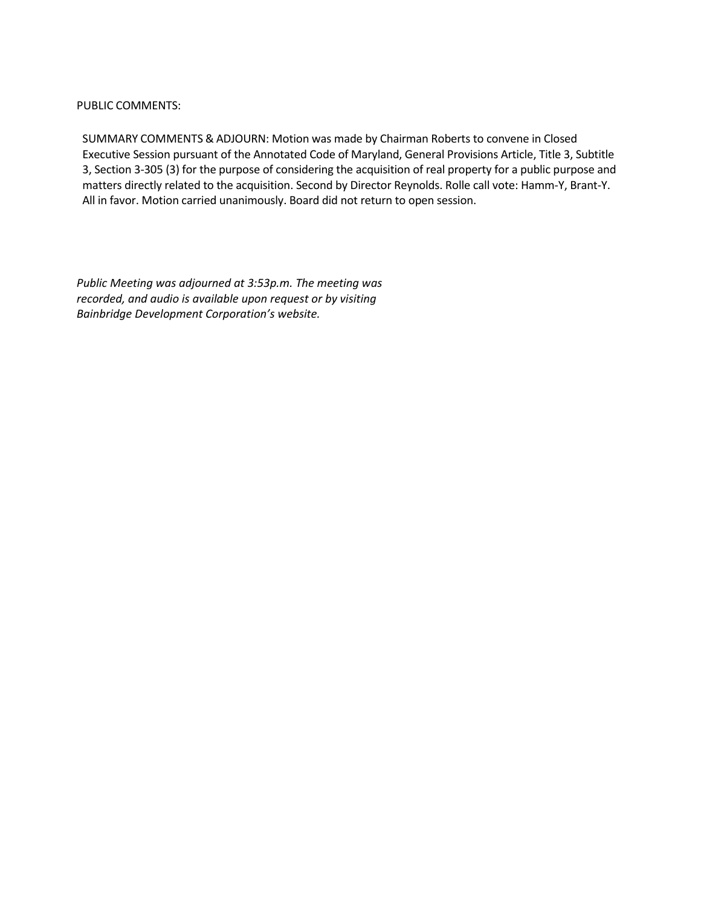## PUBLIC COMMENTS:

SUMMARY COMMENTS & ADJOURN: Motion was made by Chairman Roberts to convene in Closed Executive Session pursuant of the Annotated Code of Maryland, General Provisions Article, Title 3, Subtitle 3, Section 3-305 (3) for the purpose of considering the acquisition of real property for a public purpose and matters directly related to the acquisition. Second by Director Reynolds. Rolle call vote: Hamm-Y, Brant-Y. All in favor. Motion carried unanimously. Board did not return to open session.

*Public Meeting was adjourned at 3:53p.m. The meeting was recorded, and audio is available upon request or by visiting Bainbridge Development Corporation's website.*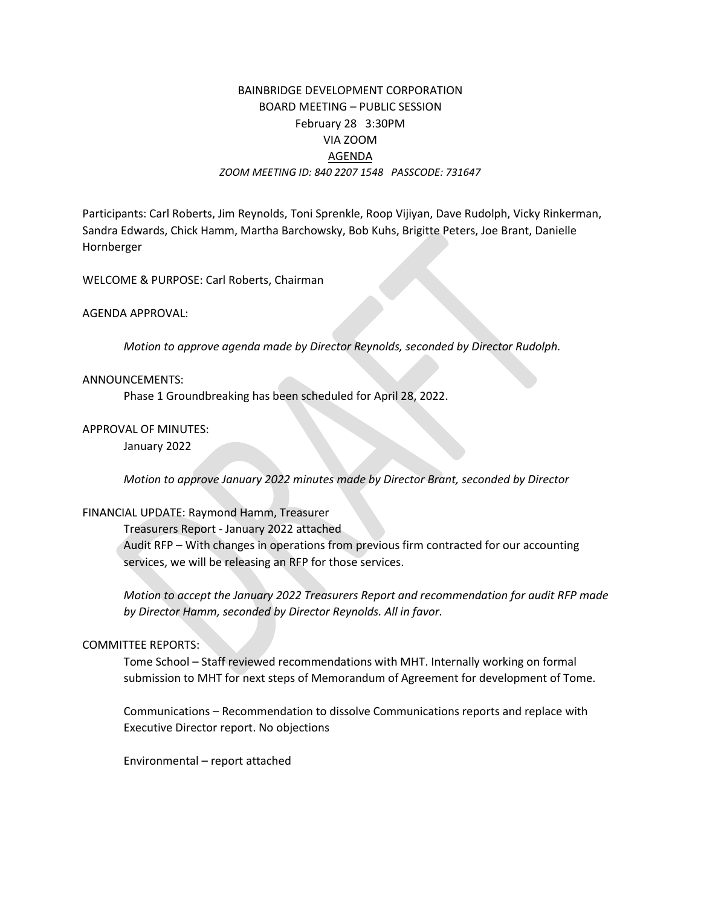# BAINBRIDGE DEVELOPMENT CORPORATION BOARD MEETING – PUBLIC SESSION February 28 3:30PM VIA ZOOM AGENDA *ZOOM MEETING ID: 840 2207 1548 PASSCODE: 731647*

Participants: Carl Roberts, Jim Reynolds, Toni Sprenkle, Roop Vijiyan, Dave Rudolph, Vicky Rinkerman, Sandra Edwards, Chick Hamm, Martha Barchowsky, Bob Kuhs, Brigitte Peters, Joe Brant, Danielle Hornberger

WELCOME & PURPOSE: Carl Roberts, Chairman

AGENDA APPROVAL:

*Motion to approve agenda made by Director Reynolds, seconded by Director Rudolph.*

### ANNOUNCEMENTS:

Phase 1 Groundbreaking has been scheduled for April 28, 2022.

## APPROVAL OF MINUTES:

January 2022

*Motion to approve January 2022 minutes made by Director Brant, seconded by Director*

### FINANCIAL UPDATE: Raymond Hamm, Treasurer

Treasurers Report - January 2022 attached

Audit RFP – With changes in operations from previous firm contracted for our accounting services, we will be releasing an RFP for those services.

*Motion to accept the January 2022 Treasurers Report and recommendation for audit RFP made by Director Hamm, seconded by Director Reynolds. All in favor.* 

# COMMITTEE REPORTS:

Tome School – Staff reviewed recommendations with MHT. Internally working on formal submission to MHT for next steps of Memorandum of Agreement for development of Tome.

Communications – Recommendation to dissolve Communications reports and replace with Executive Director report. No objections

Environmental – report attached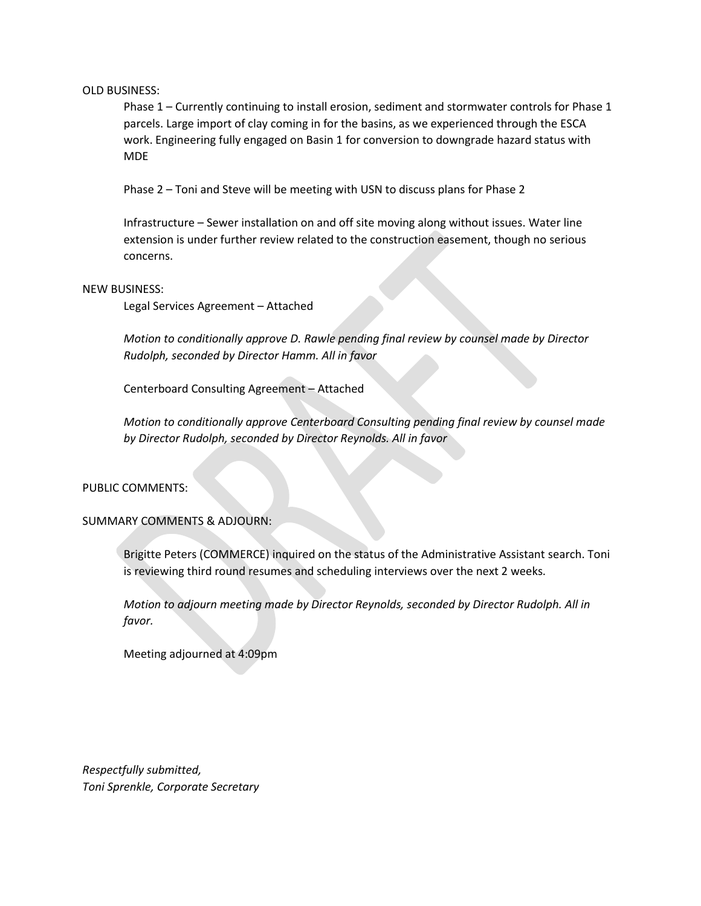OLD BUSINESS:

Phase 1 – Currently continuing to install erosion, sediment and stormwater controls for Phase 1 parcels. Large import of clay coming in for the basins, as we experienced through the ESCA work. Engineering fully engaged on Basin 1 for conversion to downgrade hazard status with MDE

Phase 2 – Toni and Steve will be meeting with USN to discuss plans for Phase 2

Infrastructure – Sewer installation on and off site moving along without issues. Water line extension is under further review related to the construction easement, though no serious concerns.

#### NEW BUSINESS:

Legal Services Agreement – Attached

*Motion to conditionally approve D. Rawle pending final review by counsel made by Director Rudolph, seconded by Director Hamm. All in favor*

Centerboard Consulting Agreement – Attached

*Motion to conditionally approve Centerboard Consulting pending final review by counsel made by Director Rudolph, seconded by Director Reynolds. All in favor*

PUBLIC COMMENTS:

SUMMARY COMMENTS & ADJOURN:

Brigitte Peters (COMMERCE) inquired on the status of the Administrative Assistant search. Toni is reviewing third round resumes and scheduling interviews over the next 2 weeks.

*Motion to adjourn meeting made by Director Reynolds, seconded by Director Rudolph. All in favor.*

Meeting adjourned at 4:09pm

*Respectfully submitted, Toni Sprenkle, Corporate Secretary*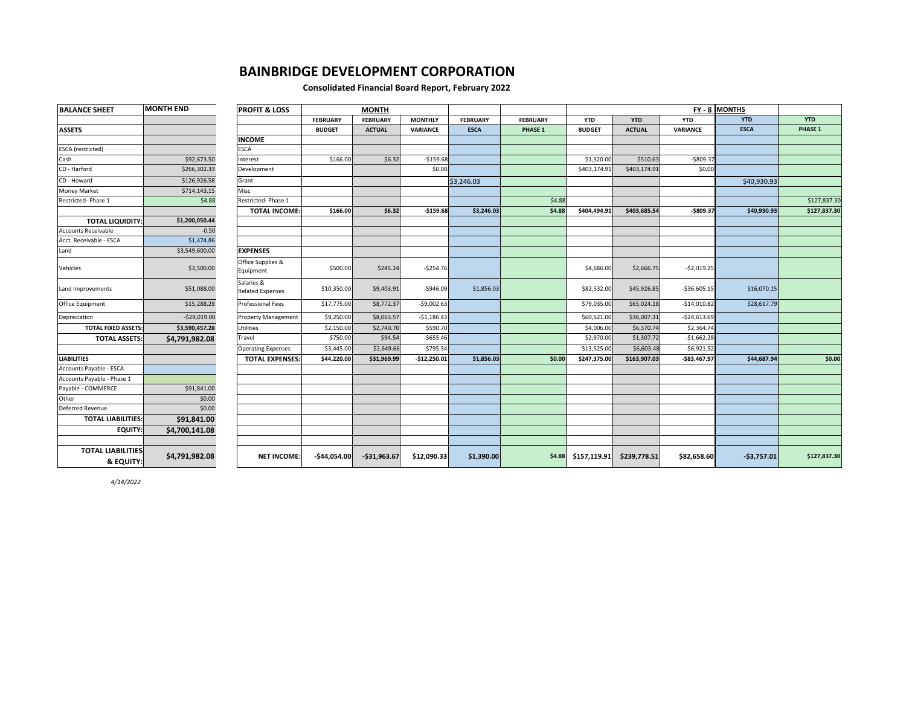### **BAINBRIDGE DEVELOPMENT CORPORATION**

#### **Consolidated Financial Board Report, February 2022**

| <b>ASSETS</b><br><b>ESCA</b> (restricted)<br>Cash<br>\$92,673.50<br>CD - Harford<br>\$266,302.33<br>CD - Howard<br>\$126,926.58<br>Money Market<br>\$714,143.15<br>Restricted-Phase 1<br>\$4.88<br>\$1,200,050.44<br><b>TOTAL LIQUIDITY:</b><br>$-0.50$<br><b>Accounts Receivable</b><br>\$1,474.86<br>Acct. Receivable - ESCA<br>\$3,549,600.00<br>Land<br>\$3,500.00<br>Vehicles<br>\$51,088.00<br>Land Improvements<br>Office Equipment<br>\$15,288.28 |                                       | <b>MONTH</b>    |                 |                 |                 |                 | FY-8 MONTHS           |               |                 |              |              |
|-----------------------------------------------------------------------------------------------------------------------------------------------------------------------------------------------------------------------------------------------------------------------------------------------------------------------------------------------------------------------------------------------------------------------------------------------------------|---------------------------------------|-----------------|-----------------|-----------------|-----------------|-----------------|-----------------------|---------------|-----------------|--------------|--------------|
|                                                                                                                                                                                                                                                                                                                                                                                                                                                           |                                       | <b>FEBRUARY</b> | <b>FEBRUARY</b> | <b>MONTHLY</b>  | <b>FEBRUARY</b> | <b>FEBRUARY</b> | <b>YTD</b>            | <b>YTD</b>    | <b>YTD</b>      | <b>YTD</b>   | <b>YTD</b>   |
|                                                                                                                                                                                                                                                                                                                                                                                                                                                           |                                       | <b>BUDGET</b>   | <b>ACTUAL</b>   | <b>VARIANCE</b> | <b>ESCA</b>     | PHASE 1         | <b>BUDGET</b>         | <b>ACTUAL</b> | <b>VARIANCE</b> | <b>ESCA</b>  | PHASE 1      |
|                                                                                                                                                                                                                                                                                                                                                                                                                                                           | <b>INCOME</b>                         |                 |                 |                 |                 |                 |                       |               |                 |              |              |
|                                                                                                                                                                                                                                                                                                                                                                                                                                                           | <b>ESCA</b>                           |                 |                 |                 |                 |                 |                       |               |                 |              |              |
|                                                                                                                                                                                                                                                                                                                                                                                                                                                           | Interest                              | \$166.00        | \$6.32          | $-5159.68$      |                 |                 | \$1,320.00            | \$510.63      | $-5809.37$      |              |              |
|                                                                                                                                                                                                                                                                                                                                                                                                                                                           | Development                           |                 |                 | \$0.00          |                 |                 | \$403,174.91          | \$403,174.91  | \$0.00          |              |              |
|                                                                                                                                                                                                                                                                                                                                                                                                                                                           | Grant                                 |                 |                 |                 | \$3,246.03      |                 |                       |               |                 | \$40,930.93  |              |
|                                                                                                                                                                                                                                                                                                                                                                                                                                                           | Misc                                  |                 |                 |                 |                 |                 |                       |               |                 |              |              |
|                                                                                                                                                                                                                                                                                                                                                                                                                                                           | Restricted-Phase 1                    |                 |                 |                 |                 | \$4.88          |                       |               |                 |              | \$127,837.30 |
|                                                                                                                                                                                                                                                                                                                                                                                                                                                           | <b>TOTAL INCOME:</b>                  | \$166.00        | \$6.32          | $-$159.68$      | \$3,246.03      | \$4.88          | \$404,494.91          | \$403,685.54  | $-$809.37$      | \$40,930.93  | \$127,837.30 |
|                                                                                                                                                                                                                                                                                                                                                                                                                                                           |                                       |                 |                 |                 |                 |                 |                       |               |                 |              |              |
|                                                                                                                                                                                                                                                                                                                                                                                                                                                           |                                       |                 |                 |                 |                 |                 |                       |               |                 |              |              |
|                                                                                                                                                                                                                                                                                                                                                                                                                                                           |                                       |                 |                 |                 |                 |                 |                       |               |                 |              |              |
|                                                                                                                                                                                                                                                                                                                                                                                                                                                           | <b>EXPENSES</b>                       |                 |                 |                 |                 |                 |                       |               |                 |              |              |
|                                                                                                                                                                                                                                                                                                                                                                                                                                                           | Office Supplies &<br>Equipment        | \$500.00        | \$245.24        | $-5254.76$      |                 |                 | \$4,686.00            | \$2,666.75    | $-$2,019.25$    |              |              |
|                                                                                                                                                                                                                                                                                                                                                                                                                                                           | Salaries &<br><b>Related Expenses</b> | \$10,350.00     | \$9,403.91      | $-$946.09$      | \$1,856.03      |                 | \$82,532.00           | \$45,926.85   | $-536,605.15$   | \$16,070.15  |              |
|                                                                                                                                                                                                                                                                                                                                                                                                                                                           | <b>Professional Fees</b>              | \$17,775.00     | \$8,772.37      | $-$9,002.63$    |                 |                 | \$79,035.00           | \$65,024.18   | $-514,010.82$   | \$28,617.79  |              |
| $-529,019.00$<br>Depreciation                                                                                                                                                                                                                                                                                                                                                                                                                             | <b>Property Management</b>            | \$9,250.00      | \$8,063.57      | $-$1,186.43$    |                 |                 | \$60,621.00           | \$36,007.31   | $-$24,613.69$   |              |              |
| <b>TOTAL FIXED ASSETS:</b><br>\$3,590,457.28                                                                                                                                                                                                                                                                                                                                                                                                              | <b>Utilities</b>                      | \$2,150.00      | \$2,740.70      | \$590.70        |                 |                 | \$4,006.00            | \$6,370.74    | \$2,364.74      |              |              |
| <b>TOTAL ASSETS:</b><br>\$4,791,982.08                                                                                                                                                                                                                                                                                                                                                                                                                    | Travel                                | \$750.00        | \$94.54         | $-5655.46$      |                 |                 | \$2,970.00            | \$1,307.72    | $-$1,662.28$    |              |              |
|                                                                                                                                                                                                                                                                                                                                                                                                                                                           | <b>Operating Expenses</b>             | \$3,445.00      | \$2,649.66      | $-5795.34$      |                 |                 | \$13,525.00           | \$6,603.48    | $-$6,921.52$    |              |              |
| <b>LIABILITIES</b>                                                                                                                                                                                                                                                                                                                                                                                                                                        | <b>TOTAL EXPENSES:</b>                | \$44,220.00     | \$31,969.99     | $-$12,250.01$   | \$1,856.03      | \$0.00          | \$247,375.00          | \$163,907.03  | $-$83,467.97$   | \$44,687.94  | \$0.00       |
| Accounts Payable - ESCA                                                                                                                                                                                                                                                                                                                                                                                                                                   |                                       |                 |                 |                 |                 |                 |                       |               |                 |              |              |
| Accounts Payable - Phase 1                                                                                                                                                                                                                                                                                                                                                                                                                                |                                       |                 |                 |                 |                 |                 |                       |               |                 |              |              |
| \$91,841.00<br>Payable - COMMERCE                                                                                                                                                                                                                                                                                                                                                                                                                         |                                       |                 |                 |                 |                 |                 |                       |               |                 |              |              |
| \$0.00<br>Other                                                                                                                                                                                                                                                                                                                                                                                                                                           |                                       |                 |                 |                 |                 |                 |                       |               |                 |              |              |
| Deferred Revenue<br>\$0.00                                                                                                                                                                                                                                                                                                                                                                                                                                |                                       |                 |                 |                 |                 |                 |                       |               |                 |              |              |
| <b>TOTAL LIABILITIES:</b><br>\$91,841.00                                                                                                                                                                                                                                                                                                                                                                                                                  |                                       |                 |                 |                 |                 |                 |                       |               |                 |              |              |
| <b>EQUITY:</b><br>\$4,700,141.08                                                                                                                                                                                                                                                                                                                                                                                                                          |                                       |                 |                 |                 |                 |                 |                       |               |                 |              |              |
|                                                                                                                                                                                                                                                                                                                                                                                                                                                           |                                       |                 |                 |                 |                 |                 |                       |               |                 |              |              |
| <b>TOTAL LIABILITIES</b><br>\$4,791,982.08<br>& EQUITY:                                                                                                                                                                                                                                                                                                                                                                                                   | <b>NET INCOME:</b>                    | $-$44,054.00$   | $-531,963.67$   | \$12,090.33     | \$1,390.00      |                 | $$4.88$ $$157,119.91$ | \$239,778.51  | \$82,658.60     | $-53,757.01$ | \$127,837.30 |

*4/14/2022*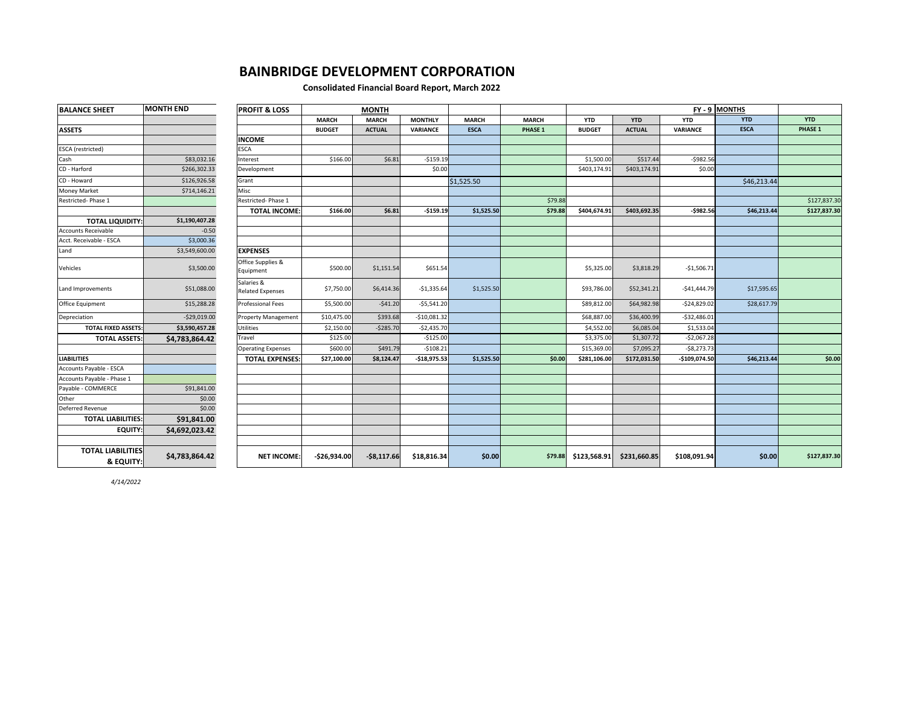### **BAINBRIDGE DEVELOPMENT CORPORATION**

#### **Consolidated Financial Board Report, March 2022**

| <b>BALANCE SHEET</b>                  | <b>MONTH END</b> | <b>PROFIT &amp; LOSS</b>              | <b>MONTH</b>  |               |                |              |                | FY - 9 MONTHS |               |               |             |              |
|---------------------------------------|------------------|---------------------------------------|---------------|---------------|----------------|--------------|----------------|---------------|---------------|---------------|-------------|--------------|
|                                       |                  |                                       | <b>MARCH</b>  | <b>MARCH</b>  | <b>MONTHLY</b> | <b>MARCH</b> | <b>MARCH</b>   | <b>YTD</b>    | <b>YTD</b>    | <b>YTD</b>    | <b>YTD</b>  | <b>YTD</b>   |
| <b>ASSETS</b>                         |                  |                                       | <b>BUDGET</b> | <b>ACTUAL</b> | VARIANCE       | <b>ESCA</b>  | <b>PHASE 1</b> | <b>BUDGET</b> | <b>ACTUAL</b> | VARIANCE      | <b>ESCA</b> | PHASE 1      |
|                                       |                  | <b>INCOME</b>                         |               |               |                |              |                |               |               |               |             |              |
| <b>ESCA</b> (restricted)              |                  | <b>ESCA</b>                           |               |               |                |              |                |               |               |               |             |              |
| Cash                                  | \$83,032.16      | Interest                              | \$166.00      | \$6.81        | $-5159.19$     |              |                | \$1,500.00    | \$517.44      | $-5982.56$    |             |              |
| CD - Harford                          | \$266,302.33     | Development                           |               |               | \$0.00         |              |                | \$403,174.91  | \$403,174.91  | \$0.00        |             |              |
| CD - Howard                           | \$126,926.58     | Grant                                 |               |               |                | \$1,525.50   |                |               |               |               | \$46,213.44 |              |
| <b>Money Market</b>                   | \$714,146.21     | Misc                                  |               |               |                |              |                |               |               |               |             |              |
| Restricted-Phase 1                    |                  | Restricted-Phase 1                    |               |               |                |              | \$79.88        |               |               |               |             | \$127,837.30 |
|                                       |                  | <b>TOTAL INCOME:</b>                  | \$166.00      | \$6.81        | $-$159.19$     | \$1,525.50   | \$79.88        | \$404,674.91  | \$403,692.35  | $-5982.56$    | \$46,213.44 | \$127,837.30 |
| <b>TOTAL LIQUIDITY:</b>               | \$1,190,407.28   |                                       |               |               |                |              |                |               |               |               |             |              |
| <b>Accounts Receivable</b>            | $-0.50$          |                                       |               |               |                |              |                |               |               |               |             |              |
| Acct. Receivable - ESCA               | \$3,000.36       |                                       |               |               |                |              |                |               |               |               |             |              |
| Land                                  | \$3,549,600.00   | <b>EXPENSES</b>                       |               |               |                |              |                |               |               |               |             |              |
| Vehicles                              | \$3,500.00       | Office Supplies &<br>Equipment        | \$500.00      | \$1,151.54    | \$651.54       |              |                | \$5,325.00    | \$3,818.29    | $-$1,506.71$  |             |              |
| Land Improvements                     | \$51,088.00      | Salaries &<br><b>Related Expenses</b> | \$7,750.00    | \$6,414.36    | $-$1,335.64$   | \$1,525.50   |                | \$93,786.00   | \$52,341.21   | $-$41,444.79$ | \$17,595.65 |              |
| Office Equipment                      | \$15,288.28      | <b>Professional Fees</b>              | \$5,500.00    | $-541.20$     | $-55,541.20$   |              |                | \$89,812.00   | \$64,982.98   | $-524,829.02$ | \$28,617.79 |              |
| Depreciation                          | $-529,019.00$    | <b>Property Management</b>            | \$10,475.00   | \$393.68      | $-510,081.32$  |              |                | \$68,887.00   | \$36,400.99   | $-532,486.01$ |             |              |
| <b>TOTAL FIXED ASSETS:</b>            | \$3,590,457.28   | Utilities                             | \$2,150.00    | $-5285.70$    | $-52,435.70$   |              |                | \$4,552.00    | \$6,085.04    | \$1,533.04    |             |              |
| <b>TOTAL ASSETS:</b>                  | \$4,783,864.42   | Travel                                | \$125.00      |               | $-$125.00$     |              |                | \$3,375.00    | \$1,307.72    | $-$2,067.28$  |             |              |
|                                       |                  | <b>Operating Expenses</b>             | \$600.00      | \$491.79      | $-5108.21$     |              |                | \$15,369.00   | \$7,095.27    | $-58,273.73$  |             |              |
| <b>LIABILITIES</b>                    |                  | <b>TOTAL EXPENSES:</b>                | \$27,100.00   | \$8,124.47    | $-$18,975.53$  | \$1,525.50   | \$0.00         | \$281,106.00  | \$172,031.50  | -\$109,074.50 | \$46,213.44 | \$0.00       |
| Accounts Payable - ESCA               |                  |                                       |               |               |                |              |                |               |               |               |             |              |
| Accounts Payable - Phase 1            |                  |                                       |               |               |                |              |                |               |               |               |             |              |
| Payable - COMMERCE                    | \$91,841.00      |                                       |               |               |                |              |                |               |               |               |             |              |
| Other                                 | \$0.00           |                                       |               |               |                |              |                |               |               |               |             |              |
| Deferred Revenue                      | \$0.00           |                                       |               |               |                |              |                |               |               |               |             |              |
| <b>TOTAL LIABILITIES:</b>             | \$91,841.00      |                                       |               |               |                |              |                |               |               |               |             |              |
| <b>EQUITY:</b>                        | \$4,692,023.42   |                                       |               |               |                |              |                |               |               |               |             |              |
|                                       |                  |                                       |               |               |                |              |                |               |               |               |             |              |
| <b>TOTAL LIABILITIES</b><br>& EQUITY: | \$4,783,864.42   | <b>NET INCOME:</b>                    | $-526,934.00$ | $-58,117.66$  | \$18,816.34    | \$0.00       | \$79.88        | \$123,568.91  | \$231,660.85  | \$108,091.94  | \$0.00      | \$127,837.30 |

*4/14/2022*